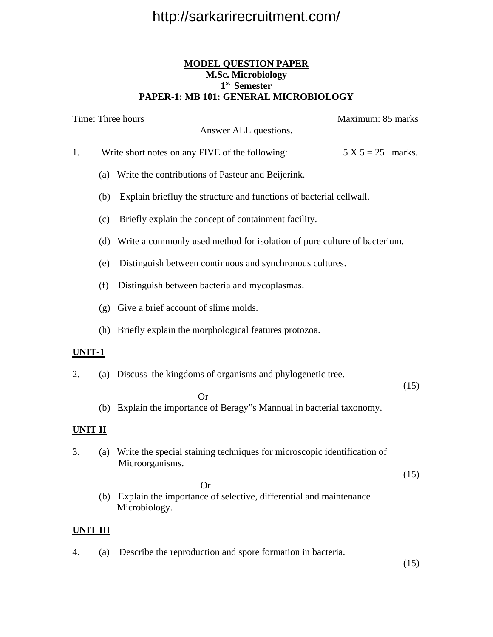#### **MODEL QUESTION PAPER M.Sc. Microbiology 1st Semester PAPER-1: MB 101: GENERAL MICROBIOLOGY**

|                | Time: Three hours |                                                                                                 | Maximum: 85 marks   |      |
|----------------|-------------------|-------------------------------------------------------------------------------------------------|---------------------|------|
|                |                   | Answer ALL questions.                                                                           |                     |      |
| 1.             |                   | Write short notes on any FIVE of the following:                                                 | $5 X 5 = 25$ marks. |      |
|                |                   | (a) Write the contributions of Pasteur and Beijerink.                                           |                     |      |
|                | (b)               | Explain briefluy the structure and functions of bacterial cellwall.                             |                     |      |
|                | (c)               | Briefly explain the concept of containment facility.                                            |                     |      |
|                |                   | (d) Write a commonly used method for isolation of pure culture of bacterium.                    |                     |      |
|                | (e)               | Distinguish between continuous and synchronous cultures.                                        |                     |      |
|                | (f)               | Distinguish between bacteria and mycoplasmas.                                                   |                     |      |
|                |                   | (g) Give a brief account of slime molds.                                                        |                     |      |
|                |                   | (h) Briefly explain the morphological features protozoa.                                        |                     |      |
| UNIT-1         |                   |                                                                                                 |                     |      |
| 2.             |                   | (a) Discuss the kingdoms of organisms and phylogenetic tree.                                    |                     |      |
|                |                   | <b>Or</b>                                                                                       |                     | (15) |
|                |                   | (b) Explain the importance of Beragy"s Mannual in bacterial taxonomy.                           |                     |      |
| <b>UNIT II</b> |                   |                                                                                                 |                     |      |
| 3.             | (a)               | Write the special staining techniques for microscopic identification of<br>Microorganisms.      |                     |      |
|                | (b)               | <b>Or</b><br>Explain the importance of selective, differential and maintenance<br>Microbiology. |                     | (15) |
| UNIT III       |                   |                                                                                                 |                     |      |
| 4.             | (a)               | Describe the reproduction and spore formation in bacteria.                                      |                     | (15) |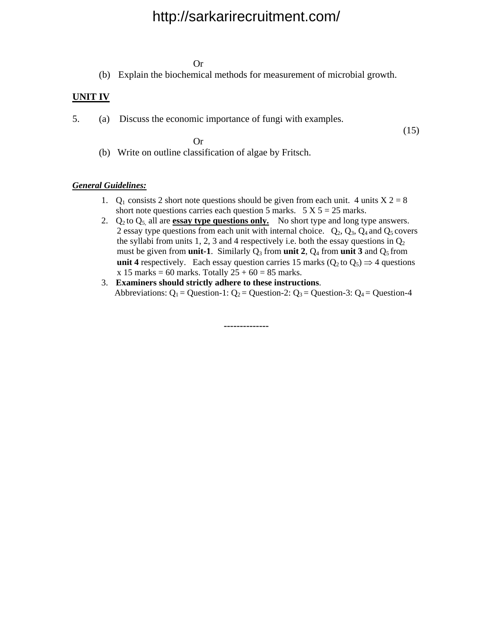Or

(b) Explain the biochemical methods for measurement of microbial growth.

 $(15)$ 

#### **UNIT IV**

5. (a) Discuss the economic importance of fungi with examples.

Or

(b) Write on outline classification of algae by Fritsch.

#### *General Guidelines:*

- 1.  $Q_1$  consists 2 short note questions should be given from each unit. 4 units  $X = 28$ short note questions carries each question 5 marks.  $5 \text{ X } 5 = 25$  marks.
- 2.  $Q_2$  to  $Q_5$ , all are **essay type questions only.** No short type and long type answers. 2 essay type questions from each unit with internal choice.  $Q_2$ ,  $Q_3$ ,  $Q_4$  and  $Q_5$  covers the syllabi from units 1, 2, 3 and 4 respectively i.e. both the essay questions in  $Q_2$ must be given from **unit-1**. Similarly  $Q_3$  from **unit 2**,  $Q_4$  from **unit 3** and  $Q_5$  from **unit 4** respectively. Each essay question carries 15 marks ( $Q_2$  to  $Q_5$ )  $\Rightarrow$  4 questions  $x 15$  **marks** = 60 marks. Totally  $25 + 60 = 85$  marks.
- 3. **Examiners should strictly adhere to these instructions**. Abbreviations:  $Q_1$  = Question-1:  $Q_2$  = Question-2:  $Q_3$  = Question-3:  $Q_4$  = Question-4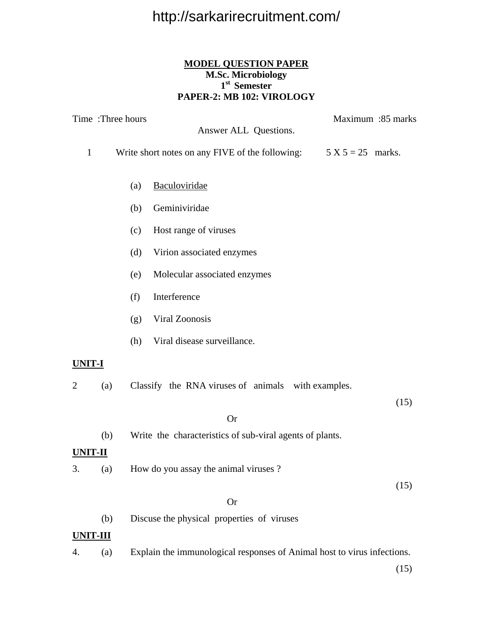#### **MODEL QUESTION PAPER M.Sc. Microbiology 1st Semester PAPER-2: MB 102: VIROLOGY**

|                 | Time: Three hours |     |                                                                         | Maximum :85 marks |
|-----------------|-------------------|-----|-------------------------------------------------------------------------|-------------------|
|                 |                   |     | Answer ALL Questions.                                                   |                   |
| $\mathbf{1}$    |                   |     | Write short notes on any FIVE of the following: $5 X 5 = 25$ marks.     |                   |
|                 |                   | (a) | Baculoviridae                                                           |                   |
|                 |                   | (b) | Geminiviridae                                                           |                   |
|                 |                   | (c) | Host range of viruses                                                   |                   |
|                 |                   | (d) | Virion associated enzymes                                               |                   |
|                 |                   | (e) | Molecular associated enzymes                                            |                   |
|                 |                   | (f) | Interference                                                            |                   |
|                 |                   | (g) | Viral Zoonosis                                                          |                   |
|                 |                   | (h) | Viral disease surveillance.                                             |                   |
| UNIT-I          |                   |     |                                                                         |                   |
| 2               | (a)               |     | Classify the RNA viruses of animals with examples.                      |                   |
|                 |                   |     |                                                                         | (15)              |
|                 |                   |     | <b>Or</b>                                                               |                   |
|                 | (b)               |     | Write the characteristics of sub-viral agents of plants.                |                   |
| <u>UNIT-II</u>  |                   |     |                                                                         |                   |
| 3.              | (a)               |     | How do you assay the animal viruses?                                    |                   |
|                 |                   |     |                                                                         | (15)              |
|                 |                   |     | <b>Or</b>                                                               |                   |
|                 | (b)               |     | Discuse the physical properties of viruses                              |                   |
| <u>UNIT-III</u> |                   |     |                                                                         |                   |
| 4.              | (a)               |     | Explain the immunological responses of Animal host to virus infections. |                   |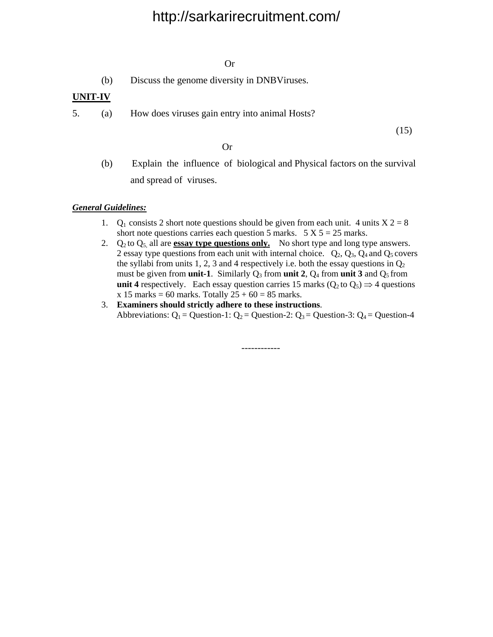#### Or

(b) Discuss the genome diversity in DNBViruses.

#### **UNIT-IV**

5. (a) How does viruses gain entry into animal Hosts?

(15)

#### Or

 (b) Explain the influence of biological and Physical factors on the survival and spread of viruses.

#### *General Guidelines:*

- 1.  $Q_1$  consists 2 short note questions should be given from each unit. 4 units  $X = 28$ short note questions carries each question 5 marks.  $5 \text{ X } 5 = 25$  marks.
- 2.  $Q_2$  to  $Q_5$  all are **essay type questions only.** No short type and long type answers. 2 essay type questions from each unit with internal choice.  $Q_2$ ,  $Q_3$ ,  $Q_4$  and  $Q_5$  covers the syllabi from units 1, 2, 3 and 4 respectively i.e. both the essay questions in  $Q_2$ must be given from **unit-1**. Similarly  $Q_3$  from **unit 2**,  $Q_4$  from **unit 3** and  $Q_5$  from **unit 4** respectively. Each essay question carries 15 marks ( $Q_2$  to  $Q_5$ )  $\Rightarrow$  4 questions **x** 15 marks = 60 marks. Totally  $25 + 60 = 85$  marks.
- 3. **Examiners should strictly adhere to these instructions**. Abbreviations:  $Q_1$  = Question-1:  $Q_2$  = Question-2:  $Q_3$  = Question-3:  $Q_4$  = Question-4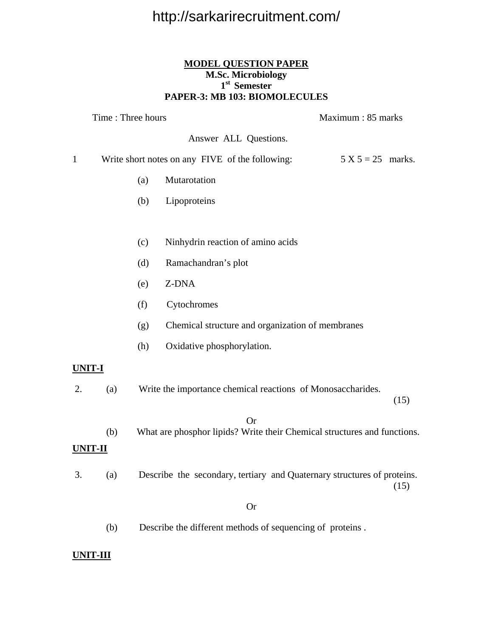#### **MODEL QUESTION PAPER M.Sc. Microbiology 1st Semester PAPER-3: MB 103: BIOMOLECULES**

| Time: Three hours |     |     | Maximum: 85 marks                                                                     |                     |
|-------------------|-----|-----|---------------------------------------------------------------------------------------|---------------------|
|                   |     |     | Answer ALL Questions.                                                                 |                     |
| $\mathbf 1$       |     |     | Write short notes on any FIVE of the following:                                       | $5 X 5 = 25$ marks. |
|                   |     | (a) | Mutarotation                                                                          |                     |
|                   |     | (b) | Lipoproteins                                                                          |                     |
|                   |     |     |                                                                                       |                     |
|                   |     | (c) | Ninhydrin reaction of amino acids                                                     |                     |
|                   |     | (d) | Ramachandran's plot                                                                   |                     |
|                   |     | (e) | Z-DNA                                                                                 |                     |
|                   |     | (f) | Cytochromes                                                                           |                     |
|                   |     | (g) | Chemical structure and organization of membranes                                      |                     |
|                   |     | (h) | Oxidative phosphorylation.                                                            |                     |
| <u>UNIT-I</u>     |     |     |                                                                                       |                     |
| 2.                | (a) |     | Write the importance chemical reactions of Monosaccharides.                           |                     |
|                   |     |     |                                                                                       | (15)                |
|                   | (b) |     | <b>Or</b><br>What are phosphor lipids? Write their Chemical structures and functions. |                     |
| UNIT-II           |     |     |                                                                                       |                     |
| 3.                | (a) |     | Describe the secondary, tertiary and Quaternary structures of proteins.               | (15)                |
|                   |     |     | <b>Or</b>                                                                             |                     |
|                   | (b) |     | Describe the different methods of sequencing of proteins.                             |                     |

#### **UNIT-III**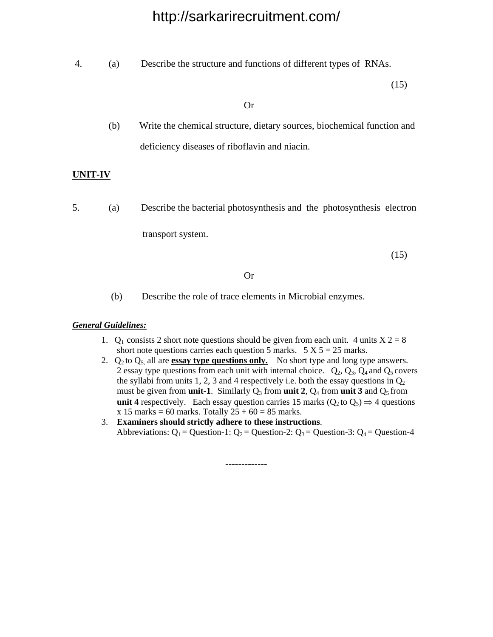4. (a) Describe the structure and functions of different types of RNAs.

(15)

Or

 (b) Write the chemical structure, dietary sources, biochemical function and deficiency diseases of riboflavin and niacin.

#### **UNIT-IV**

5. (a) Describe the bacterial photosynthesis and the photosynthesis electron

transport system.

(15)

#### Or

(b) Describe the role of trace elements in Microbial enzymes.

#### *General Guidelines:*

- 1.  $Q_1$  consists 2 short note questions should be given from each unit. 4 units  $X = 28$ short note questions carries each question 5 marks.  $5 X 5 = 25$  marks.
- 2.  $Q_2$  to  $Q_5$ , all are **essay type questions only.** No short type and long type answers. 2 essay type questions from each unit with internal choice.  $Q_2$ ,  $Q_3$ ,  $Q_4$  and  $Q_5$  covers the syllabi from units 1, 2, 3 and 4 respectively i.e. both the essay questions in  $Q_2$ must be given from **unit-1**. Similarly  $Q_3$  from **unit 2**,  $Q_4$  from **unit 3** and  $Q_5$  from **unit 4** respectively. Each essay question carries 15 marks ( $Q_2$  to  $Q_5$ )  $\Rightarrow$  4 questions  $x 15$  marks = 60 marks. Totally  $25 + 60 = 85$  marks.
- 3. **Examiners should strictly adhere to these instructions**. Abbreviations:  $Q_1$  = Question-1:  $Q_2$  = Question-2:  $Q_3$  = Question-3:  $Q_4$  = Question-4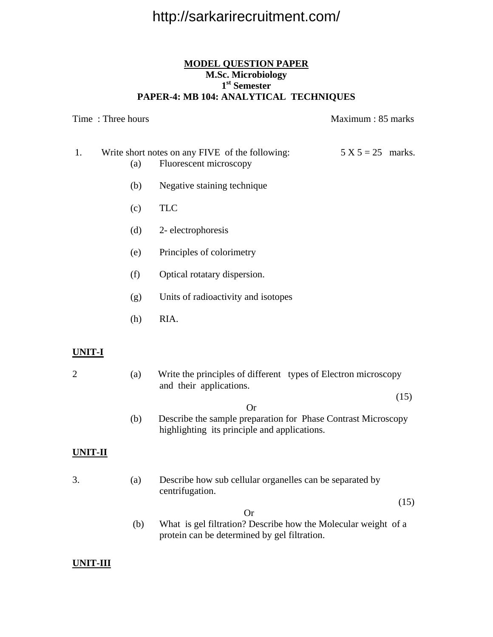#### **MODEL QUESTION PAPER M.Sc. Microbiology 1st Semester PAPER-4: MB 104: ANALYTICAL TECHNIQUES**

Time : Three hours and the set of the matter of the Maximum : 85 marks

- 1. Write short notes on any FIVE of the following:  $5 X 5 = 25$  marks. (a) Fluorescent microscopy
	- (b) Negative staining technique
	- (c) TLC
	- (d) 2- electrophoresis
	- (e) Principles of colorimetry
	- (f) Optical rotatary dispersion.
	- (g) Units of radioactivity and isotopes
	- (h) RIA.

#### **UNIT-I**

- 2 (a) Write the principles of different types of Electron microscopy and their applications.
- (15)
- Or (b) Describe the sample preparation for Phase Contrast Microscopy highlighting its principle and applications.

#### **UNIT-II**

3. (a) Describe how sub cellular organelles can be separated by centrifugation.

(15)

Or

(b) What is gel filtration? Describe how the Molecular weight of a protein can be determined by gel filtration.

#### **UNIT-III**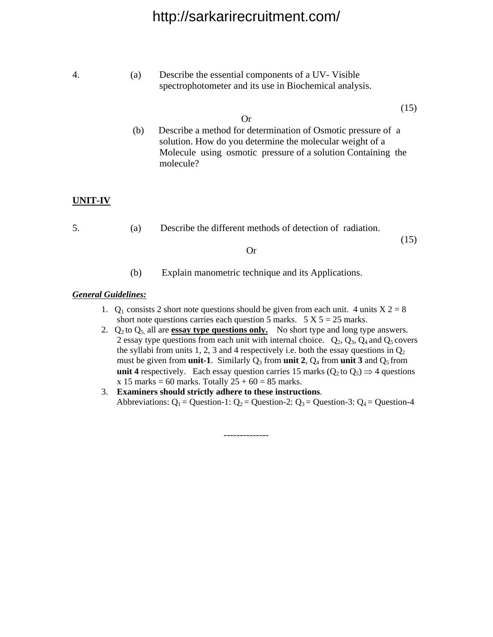| 4.      | (a) | Describe the essential components of a UV-Visible<br>spectrophotometer and its use in Biochemical analysis.                                                                                                         |
|---------|-----|---------------------------------------------------------------------------------------------------------------------------------------------------------------------------------------------------------------------|
|         | (b) | (15)<br>Or<br>Describe a method for determination of Osmotic pressure of a<br>solution. How do you determine the molecular weight of a<br>Molecule using osmotic pressure of a solution Containing the<br>molecule? |
| UNIT-IV |     |                                                                                                                                                                                                                     |
| 5.      | (a) | Describe the different methods of detection of radiation.                                                                                                                                                           |

- $(15)$  Or
	- (b) Explain manometric technique and its Applications.

#### *General Guidelines:*

- 1.  $Q_1$  consists 2 short note questions should be given from each unit. 4 units  $X = 28$ short note questions carries each question 5 marks.  $5 \text{ X } 5 = 25$  marks.
- 2.  $Q_2$  to  $Q_5$ , all are **essay type questions only.** No short type and long type answers. 2 essay type questions from each unit with internal choice.  $Q_2$ ,  $Q_3$ ,  $Q_4$  and  $Q_5$  covers the syllabi from units 1, 2, 3 and 4 respectively i.e. both the essay questions in  $Q_2$ must be given from **unit-1**. Similarly  $Q_3$  from **unit 2**,  $Q_4$  from **unit 3** and  $Q_5$  from **unit 4** respectively. Each essay question carries 15 marks ( $Q_2$  to  $Q_5$ )  $\Rightarrow$  4 questions  $\times$  **15 marks** = 60 marks. Totally  $25 + 60 = 85$  marks.
- 3. **Examiners should strictly adhere to these instructions**. Abbreviations:  $Q_1$  = Question-1:  $Q_2$  = Question-2:  $Q_3$  = Question-3:  $Q_4$  = Question-4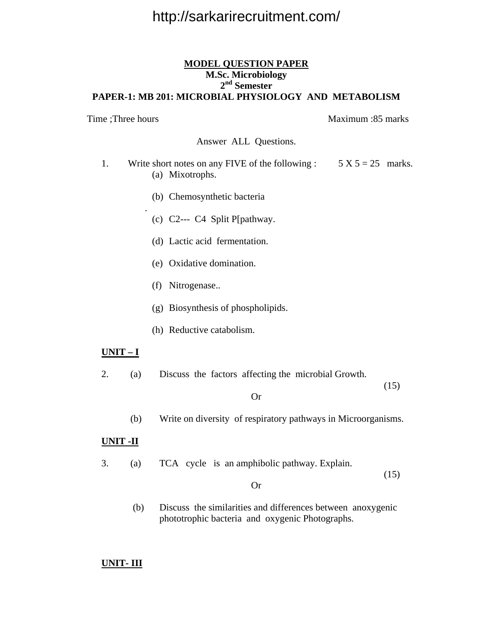#### **MODEL QUESTION PAPER M.Sc. Microbiology 2nd Semester PAPER-1: MB 201: MICROBIAL PHYSIOLOGY AND METABOLISM**

Time ;Three hours Maximum :85 marks Answer ALL Questions. 1. Write short notes on any FIVE of the following :  $5 X 5 = 25$  marks. (a) Mixotrophs. (b) Chemosynthetic bacteria . (c) C2--- C4 Split P[pathway. (d) Lactic acid fermentation. (e) Oxidative domination. (f) Nitrogenase.. (g) Biosynthesis of phospholipids. (h) Reductive catabolism. **UNIT – I** 2. (a) Discuss the factors affecting the microbial Growth. (15) Or

- 
- (b) Write on diversity of respiratory pathways in Microorganisms.

#### **UNIT -II**

3. (a) TCA cycle is an amphibolic pathway. Explain.  $(15)$ 

#### Or

(b) Discuss the similarities and differences between anoxygenic phototrophic bacteria and oxygenic Photographs.

#### **UNIT- III**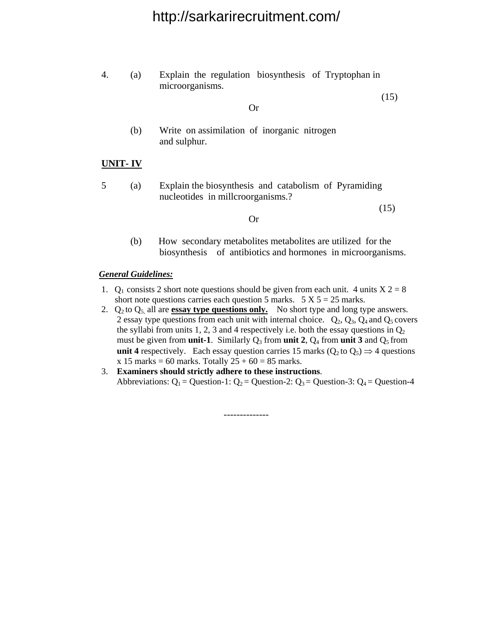|  | Explain the regulation biosynthesis of Tryptophan in |  |
|--|------------------------------------------------------|--|
|  | microorganisms.                                      |  |

 (15) Or

> (b) Write on assimilation of inorganic nitrogen and sulphur.

#### **UNIT- IV**

5 (a) Explain the biosynthesis and catabolism of Pyramiding nucleotides in millcroorganisms.?

 $(15)$ 

#### (b) How secondary metabolites metabolites are utilized for the biosynthesis of antibiotics and hormones in microorganisms.

#### *General Guidelines:*

Or

- 1.  $Q_1$  consists 2 short note questions should be given from each unit. 4 units  $X = 28$ short note questions carries each question 5 marks.  $5 \text{ X } 5 = 25$  marks.
- 2.  $Q_2$  to  $Q_5$ , all are **essay type questions only.** No short type and long type answers. 2 essay type questions from each unit with internal choice.  $Q_2$ ,  $Q_3$ ,  $Q_4$  and  $Q_5$  covers the syllabi from units 1, 2, 3 and 4 respectively i.e. both the essay questions in  $Q_2$ must be given from **unit-1**. Similarly  $Q_3$  from **unit 2**,  $Q_4$  from **unit 3** and  $Q_5$  from **unit 4** respectively. Each essay question carries 15 marks ( $Q_2$  to  $Q_5$ )  $\Rightarrow$  4 questions  $x 15$  marks = 60 marks. Totally  $25 + 60 = 85$  marks.
- 3. **Examiners should strictly adhere to these instructions**. Abbreviations:  $Q_1$  = Question-1:  $Q_2$  = Question-2:  $Q_3$  = Question-3:  $Q_4$  = Question-4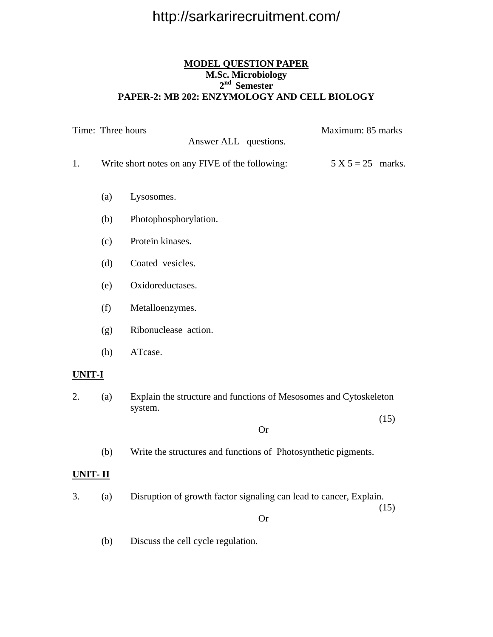#### **MODEL QUESTION PAPER M.Sc. Microbiology 2nd Semester PAPER-2: MB 202: ENZYMOLOGY AND CELL BIOLOGY**

|         | Time: Three hours | Answer ALL questions.                                                        | Maximum: 85 marks |                     |  |
|---------|-------------------|------------------------------------------------------------------------------|-------------------|---------------------|--|
| 1.      |                   | Write short notes on any FIVE of the following:                              |                   | $5 X 5 = 25$ marks. |  |
|         | (a)               | Lysosomes.                                                                   |                   |                     |  |
|         | (b)               | Photophosphorylation.                                                        |                   |                     |  |
|         | (c)               | Protein kinases.                                                             |                   |                     |  |
|         | (d)               | Coated vesicles.                                                             |                   |                     |  |
|         | (e)               | Oxidoreductases.                                                             |                   |                     |  |
|         | (f)               | Metalloenzymes.                                                              |                   |                     |  |
|         | (g)               | Ribonuclease action.                                                         |                   |                     |  |
|         | (h)               | ATcase.                                                                      |                   |                     |  |
| UNIT-I  |                   |                                                                              |                   |                     |  |
| 2.      | (a)               | Explain the structure and functions of Mesosomes and Cytoskeleton<br>system. |                   |                     |  |
|         |                   | <b>Or</b>                                                                    |                   | (15)                |  |
|         | (b)               | Write the structures and functions of Photosynthetic pigments.               |                   |                     |  |
| UNIT-II |                   |                                                                              |                   |                     |  |
| 3.      | (a)               | Disruption of growth factor signaling can lead to cancer, Explain.           |                   |                     |  |
|         |                   | <b>Or</b>                                                                    |                   | (15)                |  |
|         | (b)               | Discuss the cell cycle regulation.                                           |                   |                     |  |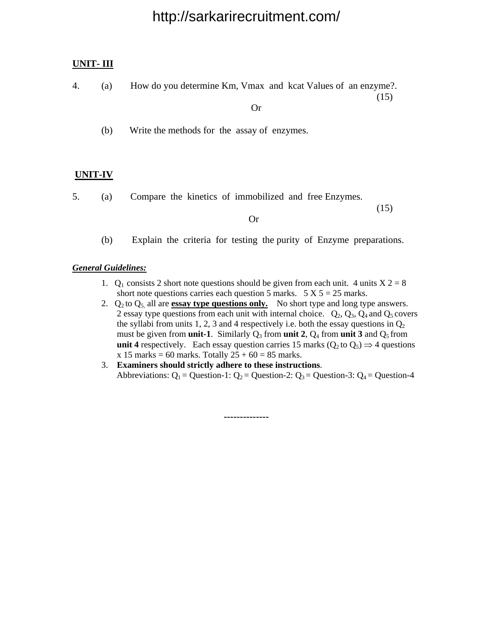#### **UNIT- III**

4. (a) How do you determine Km, Vmax and kcat Values of an enzyme?. (15)

Or

(b) Write the methods for the assay of enzymes.

#### **UNIT-IV**

5. (a) Compare the kinetics of immobilized and free Enzymes.

 $(15)$ 

Or

(b) Explain the criteria for testing the purity of Enzyme preparations.

#### *General Guidelines:*

- 1.  $Q_1$  consists 2 short note questions should be given from each unit. 4 units  $X = 28$ short note questions carries each question 5 marks.  $5 \text{ X } 5 = 25$  marks.
- 2.  $Q_2$  to  $Q_5$  all are **essay type questions only.** No short type and long type answers. 2 essay type questions from each unit with internal choice.  $Q_2$ ,  $Q_3$ ,  $Q_4$  and  $Q_5$  covers the syllabi from units 1, 2, 3 and 4 respectively i.e. both the essay questions in  $Q_2$ must be given from **unit-1**. Similarly  $Q_3$  from **unit 2**,  $Q_4$  from **unit 3** and  $Q_5$  from **unit 4** respectively. Each essay question carries 15 marks ( $Q_2$  to  $Q_5$ )  $\Rightarrow$  4 questions  $x 15$  **marks** = 60 marks. Totally  $25 + 60 = 85$  marks.
- 3. **Examiners should strictly adhere to these instructions**. Abbreviations:  $Q_1$  = Question-1:  $Q_2$  = Question-2:  $Q_3$  = Question-3:  $Q_4$  = Question-4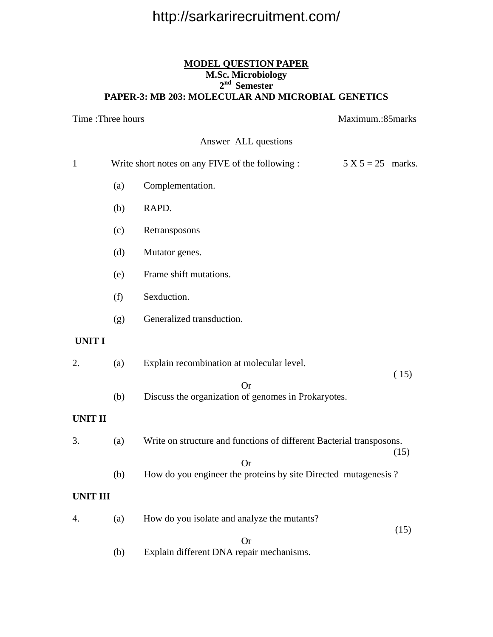#### **MODEL QUESTION PAPER M.Sc. Microbiology 2nd Semester PAPER-3: MB 203: MOLECULAR AND MICROBIAL GENETICS**

| Time: Three hours |     |                                                                              |                     | Maximum.:85marks |  |
|-------------------|-----|------------------------------------------------------------------------------|---------------------|------------------|--|
|                   |     | Answer ALL questions                                                         |                     |                  |  |
| $\mathbf{1}$      |     | Write short notes on any FIVE of the following :                             | $5 X 5 = 25$ marks. |                  |  |
|                   | (a) | Complementation.                                                             |                     |                  |  |
|                   | (b) | RAPD.                                                                        |                     |                  |  |
|                   | (c) | Retransposons                                                                |                     |                  |  |
|                   | (d) | Mutator genes.                                                               |                     |                  |  |
|                   | (e) | Frame shift mutations.                                                       |                     |                  |  |
|                   | (f) | Sexduction.                                                                  |                     |                  |  |
|                   | (g) | Generalized transduction.                                                    |                     |                  |  |
| <b>UNIT I</b>     |     |                                                                              |                     |                  |  |
| 2.                | (a) | Explain recombination at molecular level.                                    |                     |                  |  |
|                   | (b) | <b>Or</b><br>Discuss the organization of genomes in Prokaryotes.             |                     | (15)             |  |
| <b>UNIT II</b>    |     |                                                                              |                     |                  |  |
| 3.                | (a) | Write on structure and functions of different Bacterial transposons.         |                     | (15)             |  |
|                   | (b) | <b>Or</b><br>How do you engineer the proteins by site Directed mutagenesis ? |                     |                  |  |
|                   |     |                                                                              |                     |                  |  |
| <b>UNIT III</b>   |     |                                                                              |                     |                  |  |
| 4.                | (a) | How do you isolate and analyze the mutants?                                  |                     |                  |  |
|                   |     | <b>Or</b>                                                                    |                     | (15)             |  |
|                   | (b) | Explain different DNA repair mechanisms.                                     |                     |                  |  |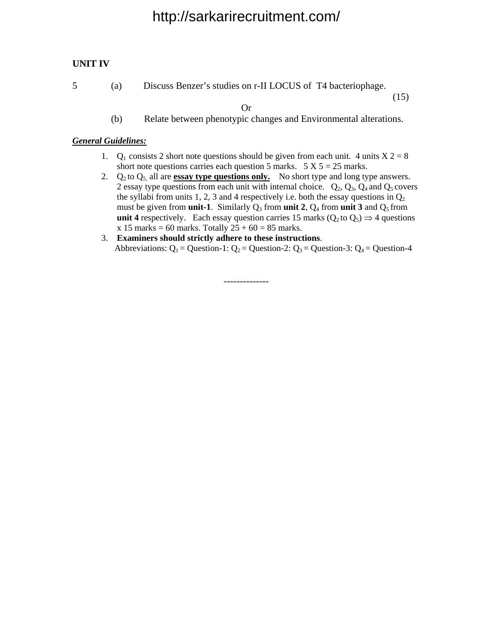#### **UNIT IV**

5 (a) Discuss Benzer's studies on r-II LOCUS of T4 bacteriophage.

(15)

(b) Relate between phenotypic changes and Environmental alterations.

Or

#### *General Guidelines:*

- 1.  $Q_1$  consists 2 short note questions should be given from each unit. 4 units  $X = 28$ short note questions carries each question 5 marks.  $5 \text{ X } 5 = 25$  marks.
- 2.  $Q_2$  to  $Q_5$  all are **essay type questions only.** No short type and long type answers. 2 essay type questions from each unit with internal choice.  $Q_2$ ,  $Q_3$ ,  $Q_4$  and  $Q_5$  covers the syllabi from units 1, 2, 3 and 4 respectively i.e. both the essay questions in  $Q_2$ must be given from **unit-1**. Similarly  $Q_3$  from **unit 2**,  $Q_4$  from **unit 3** and  $Q_5$  from **unit 4** respectively. Each essay question carries 15 marks ( $Q_2$  to  $Q_5$ )  $\Rightarrow$  4 questions  $x 15$  **marks** = 60 marks. Totally  $25 + 60 = 85$  marks.
- 3. **Examiners should strictly adhere to these instructions**. Abbreviations:  $Q_1$  = Question-1:  $Q_2$  = Question-2:  $Q_3$  = Question-3:  $Q_4$  = Question-4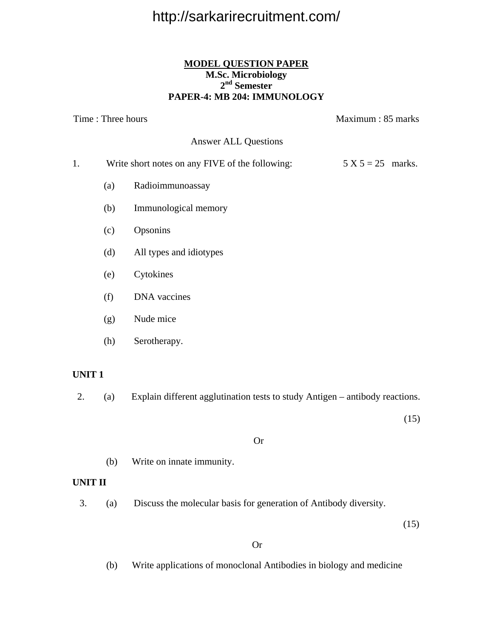#### **MODEL QUESTION PAPER M.Sc. Microbiology 2nd Semester PAPER-4: MB 204: IMMUNOLOGY**

Time : Three hours Maximum : 85 marks Answer ALL Questions 1. Write short notes on any FIVE of the following:  $5 X 5 = 25$  marks. (a) Radioimmunoassay (b) Immunological memory (c) Opsonins (d) All types and idiotypes (e) Cytokines (f) DNA vaccines

- (g) Nude mice
- (h) Serotherapy.

#### **UNIT 1**

2. (a) Explain different agglutination tests to study Antigen – antibody reactions.

(15)

#### Or

(b) Write on innate immunity.

#### **UNIT II**

3. (a) Discuss the molecular basis for generation of Antibody diversity.

 $(15)$ 

#### Or

(b) Write applications of monoclonal Antibodies in biology and medicine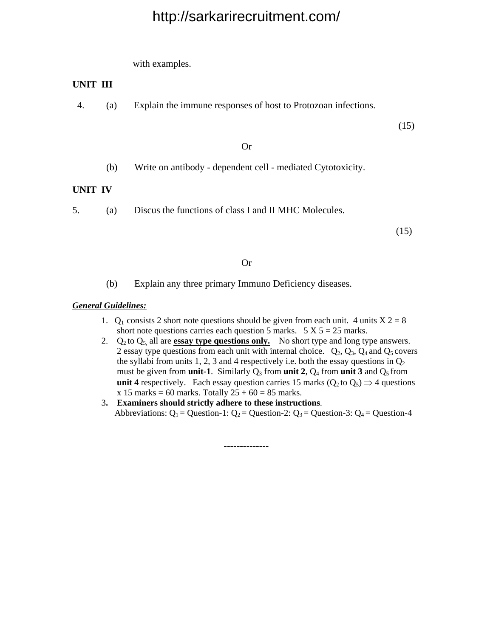with examples.

#### **UNIT III**

4. (a) Explain the immune responses of host to Protozoan infections.

(15)

#### Or

(b) Write on antibody - dependent cell - mediated Cytotoxicity.

#### **UNIT IV**

5. (a) Discus the functions of class I and II MHC Molecules.

(15)

#### Or

(b) Explain any three primary Immuno Deficiency diseases.

#### *General Guidelines:*

- 1.  $Q_1$  consists 2 short note questions should be given from each unit. 4 units  $X = 28$ short note questions carries each question 5 marks.  $5 \text{ X } 5 = 25$  marks.
- 2.  $Q_2$  to  $Q_5$  all are **essay type questions only.** No short type and long type answers. 2 essay type questions from each unit with internal choice.  $Q_2$ ,  $Q_3$ ,  $Q_4$  and  $Q_5$  covers the syllabi from units 1, 2, 3 and 4 respectively i.e. both the essay questions in  $Q_2$ must be given from **unit-1**. Similarly  $Q_3$  from **unit 2**,  $Q_4$  from **unit 3** and  $Q_5$  from **unit 4** respectively. Each essay question carries 15 marks ( $Q_2$  to  $Q_5$ )  $\Rightarrow$  4 questions  $x 15$  marks = 60 marks. Totally  $25 + 60 = 85$  marks.
- 3**. Examiners should strictly adhere to these instructions**. Abbreviations:  $Q_1$  = Question-1:  $Q_2$  = Question-2:  $Q_3$  = Question-3:  $Q_4$  = Question-4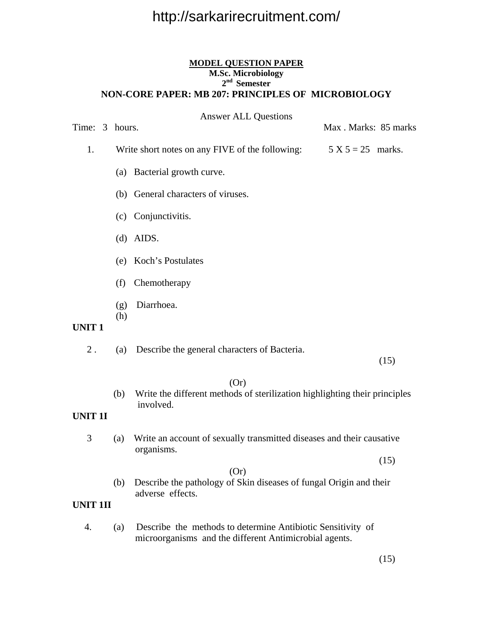#### **MODEL QUESTION PAPER M.Sc. Microbiology 2nd Semester NON-CORE PAPER: MB 207: PRINCIPLES OF MICROBIOLOGY**

| Time: 3 hours. |  |            | <b>Answer ALL Questions</b>                                                                     | Max. Marks: 85 marks |      |
|----------------|--|------------|-------------------------------------------------------------------------------------------------|----------------------|------|
| 1.             |  |            | Write short notes on any FIVE of the following:                                                 | $5 X 5 = 25$ marks.  |      |
|                |  |            | (a) Bacterial growth curve.                                                                     |                      |      |
|                |  |            | (b) General characters of viruses.                                                              |                      |      |
|                |  |            | (c) Conjunctivitis.                                                                             |                      |      |
|                |  |            | $(d)$ AIDS.                                                                                     |                      |      |
|                |  |            | (e) Koch's Postulates                                                                           |                      |      |
|                |  | (f)        | Chemotherapy                                                                                    |                      |      |
|                |  | (g)<br>(h) | Diarrhoea.                                                                                      |                      |      |
| <b>UNIT1</b>   |  |            |                                                                                                 |                      |      |
| $2$ .          |  | (a)        | Describe the general characters of Bacteria.                                                    |                      | (15) |
| <b>UNIT 1I</b> |  | (b)        | (Or)<br>Write the different methods of sterilization highlighting their principles<br>involved. |                      |      |
| 3              |  | (a)        | Write an account of sexually transmitted diseases and their causative<br>organisms.             |                      | (15) |

(Or)

 (b) Describe the pathology of Skin diseases of fungal Origin and their adverse effects.

#### **UNIT 1II**

 4. (a) Describe the methods to determine Antibiotic Sensitivity of microorganisms and the different Antimicrobial agents.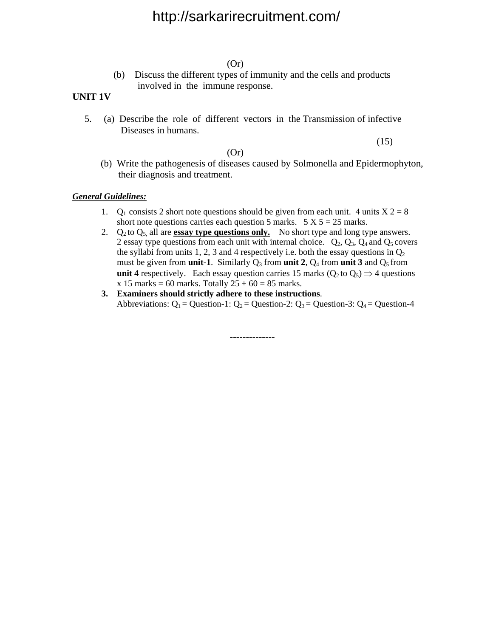(Or)

(b) Discuss the different types of immunity and the cells and products involved in the immune response.

#### **UNIT 1V**

5. (a) Describe the role of different vectors in the Transmission of infective Diseases in humans.

(Or)

 $(15)$ 

 (b) Write the pathogenesis of diseases caused by Solmonella and Epidermophyton, their diagnosis and treatment.

#### *General Guidelines:*

- 1.  $Q_1$  consists 2 short note questions should be given from each unit. 4 units  $X = 28$ short note questions carries each question 5 marks.  $5 \text{ X } 5 = 25$  marks.
- 2.  $Q_2$  to  $Q_5$  all are **essay type questions only.** No short type and long type answers. 2 essay type questions from each unit with internal choice.  $Q_2$ ,  $Q_3$ ,  $Q_4$  and  $Q_5$  covers the syllabi from units 1, 2, 3 and 4 respectively i.e. both the essay questions in  $Q_2$ must be given from **unit-1**. Similarly  $Q_3$  from **unit 2**,  $Q_4$  from **unit 3** and  $Q_5$  from **unit 4** respectively. Each essay question carries 15 marks ( $Q_2$  to  $Q_5$ )  $\Rightarrow$  4 questions  $x 15$  **marks** = 60 marks. Totally  $25 + 60 = 85$  marks.
- **3. Examiners should strictly adhere to these instructions**. Abbreviations:  $Q_1$  = Question-1:  $Q_2$  = Question-2:  $Q_3$  = Question-3:  $Q_4$  = Question-4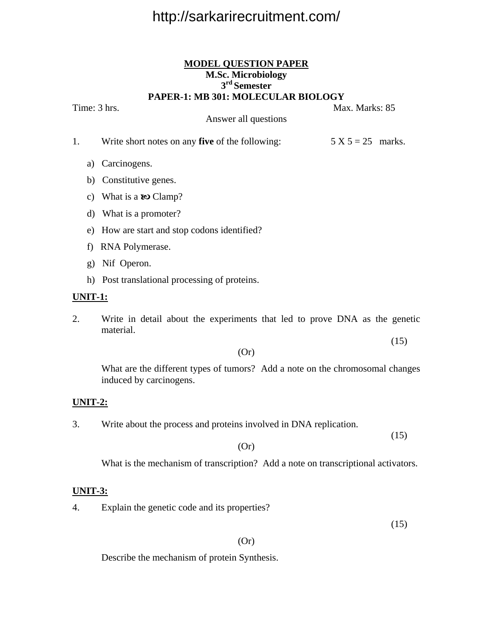#### **MODEL QUESTION PAPER M.Sc. Microbiology 3rd Semester PAPER-1: MB 301: MOLECULAR BIOLOGY**

Time: 3 hrs. Max. Marks: 85

Answer all questions

- 1. Write short notes on any **five** of the following:  $5 X 5 = 25$  marks.
	- a) Carcinogens.
	- b) Constitutive genes.
	- c) What is a  $\omega$  Clamp?
	- d) What is a promoter?
	- e) How are start and stop codons identified?
	- f) RNA Polymerase.
	- g) Nif Operon.
	- h) Post translational processing of proteins.

#### **UNIT-1:**

2. Write in detail about the experiments that led to prove DNA as the genetic material.

#### (Or)

 What are the different types of tumors? Add a note on the chromosomal changes induced by carcinogens.

#### **UNIT-2:**

3. Write about the process and proteins involved in DNA replication.

 (15) (Or)

What is the mechanism of transcription? Add a note on transcriptional activators.

#### **UNIT-3:**

4. Explain the genetic code and its properties?

(15)

(15)

#### (Or)

Describe the mechanism of protein Synthesis.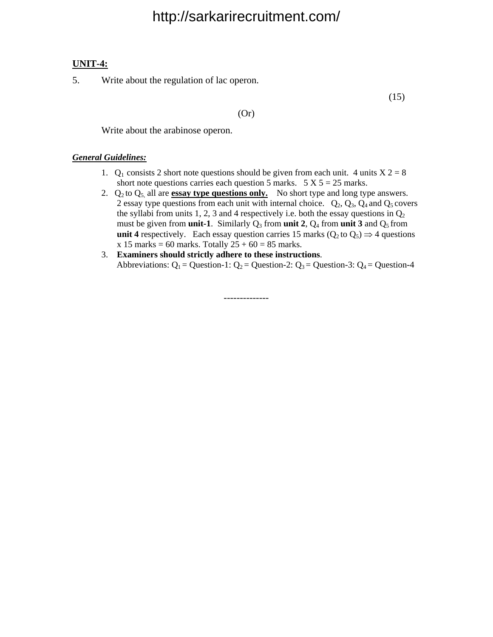#### **UNIT-4:**

5. Write about the regulation of lac operon.

(15)

(Or)

Write about the arabinose operon.

#### *General Guidelines:*

- 1.  $Q_1$  consists 2 short note questions should be given from each unit. 4 units  $X = 28$ short note questions carries each question 5 marks.  $5 \text{ X } 5 = 25$  marks.
- 2.  $Q_2$  to  $Q_5$  all are **essay type questions only.** No short type and long type answers. 2 essay type questions from each unit with internal choice.  $Q_2$ ,  $Q_3$ ,  $Q_4$  and  $Q_5$  covers the syllabi from units 1, 2, 3 and 4 respectively i.e. both the essay questions in  $Q_2$ must be given from **unit-1**. Similarly  $Q_3$  from **unit 2**,  $Q_4$  from **unit 3** and  $Q_5$  from **unit 4** respectively. Each essay question carries 15 marks ( $Q_2$  to  $Q_5$ )  $\Rightarrow$  4 questions  $x 15$  **marks** = 60 marks. Totally  $25 + 60 = 85$  marks.
- 3. **Examiners should strictly adhere to these instructions**. Abbreviations:  $Q_1$  = Question-1:  $Q_2$  = Question-2:  $Q_3$  = Question-3:  $Q_4$  = Question-4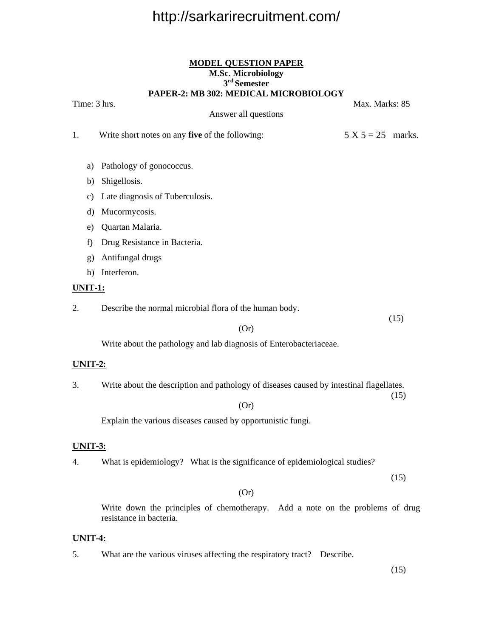#### **MODEL QUESTION PAPER M.Sc. Microbiology 3rd Semester PAPER-2: MB 302: MEDICAL MICROBIOLOGY**

Time: 3 hrs. Max. Marks: 85 Answer all questions 1. Write short notes on any **five** of the following:  $5 X 5 = 25$  marks. a) Pathology of gonococcus. b) Shigellosis. c) Late diagnosis of Tuberculosis. d) Mucormycosis. e) Quartan Malaria. f) Drug Resistance in Bacteria. g) Antifungal drugs h) Interferon. **UNIT-1:** 2. Describe the normal microbial flora of the human body. (15) (Or)

Write about the pathology and lab diagnosis of Enterobacteriaceae.

#### **UNIT-2:**

3. Write about the description and pathology of diseases caused by intestinal flagellates. (15)

(Or)

Explain the various diseases caused by opportunistic fungi.

#### **UNIT-3:**

4. What is epidemiology? What is the significance of epidemiological studies?

(15)

#### (Or)

 Write down the principles of chemotherapy. Add a note on the problems of drug resistance in bacteria.

#### **UNIT-4:**

5. What are the various viruses affecting the respiratory tract? Describe.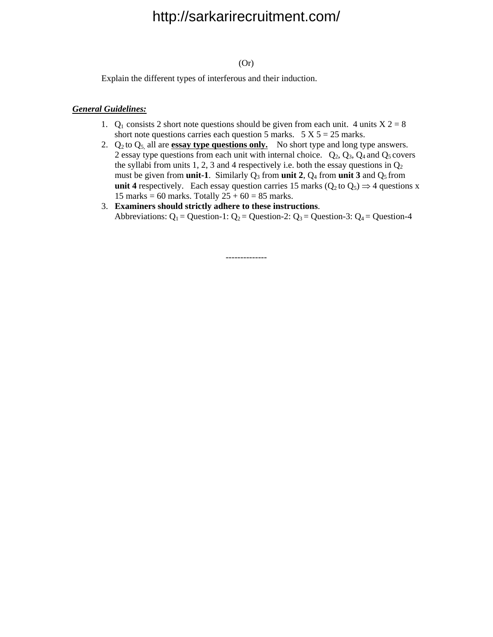#### (Or)

Explain the different types of interferous and their induction.

#### *General Guidelines:*

- 1.  $Q_1$  consists 2 short note questions should be given from each unit. 4 units  $X \cdot 2 = 8$ short note questions carries each question 5 marks.  $5 \text{ X } 5 = 25$  marks.
- 2.  $Q_2$  to  $Q_5$  all are **essay type questions only.** No short type and long type answers. 2 essay type questions from each unit with internal choice.  $Q_2$ ,  $Q_3$ ,  $Q_4$  and  $Q_5$  covers the syllabi from units 1, 2, 3 and 4 respectively i.e. both the essay questions in  $Q_2$ must be given from **unit-1**. Similarly  $Q_3$  from **unit 2**,  $Q_4$  from **unit 3** and  $Q_5$  from **unit 4** respectively. Each essay question carries 15 marks ( $Q_2$  to  $Q_5$ )  $\Rightarrow$  4 questions x 15 marks = 60 marks. Totally  $25 + 60 = 85$  marks.
- 3. **Examiners should strictly adhere to these instructions**. Abbreviations:  $Q_1$  = Question-1:  $Q_2$  = Question-2:  $Q_3$  = Question-3:  $Q_4$  = Question-4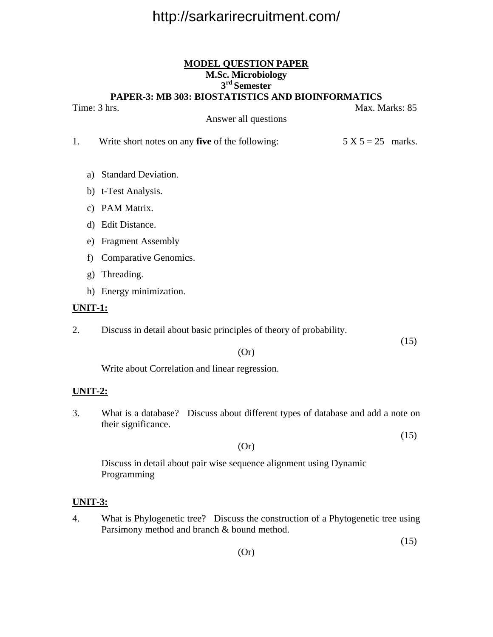### **MODEL QUESTION PAPER M.Sc. Microbiology 3rd Semester**

**PAPER-3: MB 303: BIOSTATISTICS AND BIOINFORMATICS** 

Time: 3 hrs. Max. Marks: 85

Answer all questions

- 1. Write short notes on any **five** of the following: 5 X 5 = 25 marks.
	- a) Standard Deviation.
	- b) t-Test Analysis.
	- c) PAM Matrix.
	- d) Edit Distance.
	- e) Fragment Assembly
	- f) Comparative Genomics.
	- g) Threading.
	- h) Energy minimization.

#### **UNIT-1:**

2. Discuss in detail about basic principles of theory of probability.

 $(15)$ 

(Or)

Write about Correlation and linear regression.

#### **UNIT-2:**

3. What is a database? Discuss about different types of database and add a note on their significance.

(Or)

 $(15)$ 

 Discuss in detail about pair wise sequence alignment using Dynamic Programming

#### **UNIT-3:**

4. What is Phylogenetic tree? Discuss the construction of a Phytogenetic tree using Parsimony method and branch & bound method.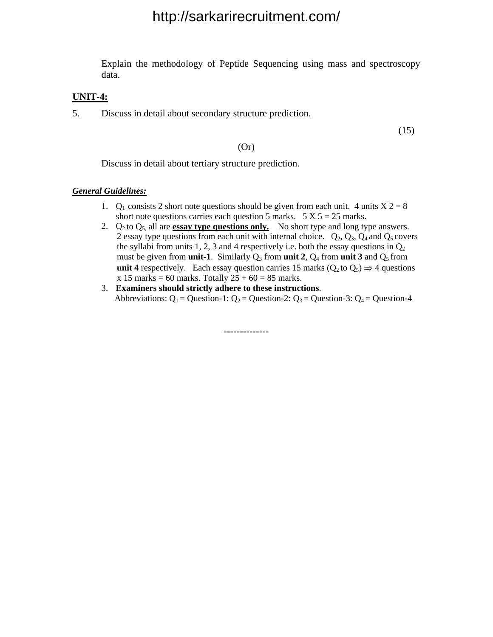Explain the methodology of Peptide Sequencing using mass and spectroscopy data.

#### **UNIT-4:**

5. Discuss in detail about secondary structure prediction.

(15)

(Or)

Discuss in detail about tertiary structure prediction.

#### *General Guidelines:*

- 1.  $Q_1$  consists 2 short note questions should be given from each unit. 4 units  $X = 28$ short note questions carries each question 5 marks.  $5 \text{ X } 5 = 25$  marks.
- 2.  $Q_2$  to  $Q_5$  all are **essay type questions only.** No short type and long type answers. 2 essay type questions from each unit with internal choice.  $Q_2$ ,  $Q_3$ ,  $Q_4$  and  $Q_5$  covers the syllabi from units 1, 2, 3 and 4 respectively i.e. both the essay questions in  $Q_2$ must be given from **unit-1**. Similarly  $Q_3$  from **unit 2**,  $Q_4$  from **unit 3** and  $Q_5$  from **unit 4** respectively. Each essay question carries 15 marks ( $Q_2$  to  $Q_5$ )  $\Rightarrow$  4 questions  $x 15$  marks = 60 marks. Totally  $25 + 60 = 85$  marks.
- 3. **Examiners should strictly adhere to these instructions**. Abbreviations:  $Q_1$  = Question-1:  $Q_2$  = Question-2:  $Q_3$  = Question-3:  $Q_4$  = Question-4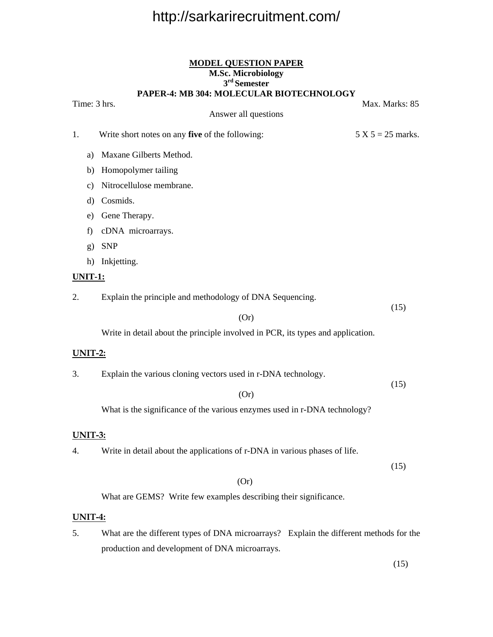#### **MODEL QUESTION PAPER M.Sc. Microbiology 3rd Semester PAPER-4: MB 304: MOLECULAR BIOTECHNOLOGY**

Answer all questions

Time: 3 hrs. Max. Marks: 85

1. Write short notes on any **five** of the following:  $5 \times 5 = 25$  marks.

- a) Maxane Gilberts Method.
- b) Homopolymer tailing
- c) Nitrocellulose membrane.
- d) Cosmids.
- e) Gene Therapy.
- f) cDNA microarrays.
- g) SNP
- h) Inkjetting.

#### **UNIT-1:**

2. Explain the principle and methodology of DNA Sequencing.

 $(15)$ 

Write in detail about the principle involved in PCR, its types and application.

(Or)

#### **UNIT-2:**

3. Explain the various cloning vectors used in r-DNA technology.

 (15) (Or)

What is the significance of the various enzymes used in r-DNA technology?

#### **UNIT-3:**

4. Write in detail about the applications of r-DNA in various phases of life.

 $(15)$ 

#### (Or)

What are GEMS? Write few examples describing their significance.

#### **UNIT-4:**

5. What are the different types of DNA microarrays? Explain the different methods for the production and development of DNA microarrays.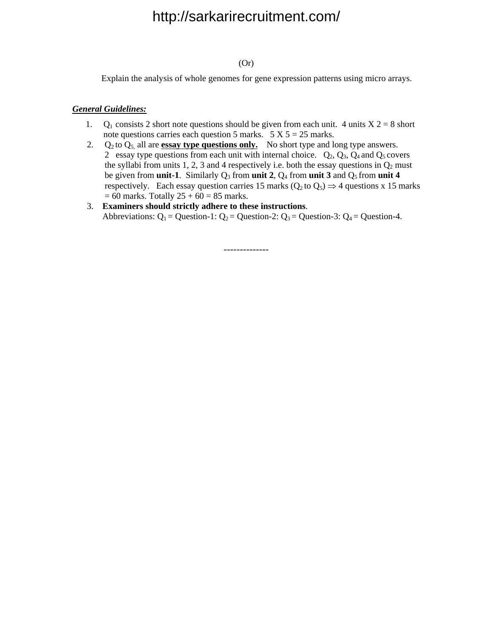#### (Or)

Explain the analysis of whole genomes for gene expression patterns using micro arrays.

#### *General Guidelines:*

- 1. Q<sub>1</sub> consists 2 short note questions should be given from each unit. 4 units  $X$  2 = 8 short note questions carries each question 5 marks.  $5 X 5 = 25$  marks.
- 2.  $Q_2$  to  $Q_5$  all are **essay type questions only.** No short type and long type answers. 2 essay type questions from each unit with internal choice.  $Q_2$ ,  $Q_3$ ,  $Q_4$  and  $Q_5$  covers the syllabi from units 1, 2, 3 and 4 respectively i.e. both the essay questions in  $Q_2$  must be given from **unit-1**. Similarly  $Q_3$  from **unit 2**,  $Q_4$  from **unit 3** and  $Q_5$  from **unit 4** respectively. Each essay question carries 15 marks ( $Q_2$  to  $Q_5$ )  $\Rightarrow$  4 questions x 15 marks  $= 60$  marks. Totally  $25 + 60 = 85$  marks.
- 3. **Examiners should strictly adhere to these instructions**. Abbreviations:  $Q_1$  = Question-1:  $Q_2$  = Question-2:  $Q_3$  = Question-3:  $Q_4$  = Question-4.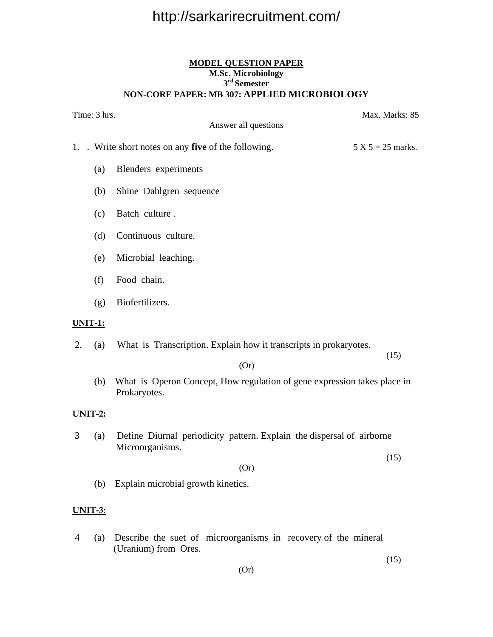#### **MODEL QUESTION PAPER M.Sc. Microbiology 3rd Semester NON-CORE PAPER: MB 307: APPLIED MICROBIOLOGY**

|                       | Time: 3 hrs. | Answer all questions                                                                     | Max. Marks: 85      |
|-----------------------|--------------|------------------------------------------------------------------------------------------|---------------------|
|                       |              |                                                                                          |                     |
|                       |              | 1. . Write short notes on any five of the following.                                     | $5 X 5 = 25$ marks. |
|                       | (a)          | Blenders experiments                                                                     |                     |
|                       | (b)          | Shine Dahlgren sequence                                                                  |                     |
|                       | (c)          | Batch culture.                                                                           |                     |
|                       | (d)          | Continuous culture.                                                                      |                     |
|                       | (e)          | Microbial leaching.                                                                      |                     |
|                       | (f)          | Food chain.                                                                              |                     |
|                       | (g)          | Biofertilizers.                                                                          |                     |
| <u><b>UNIT-1:</b></u> |              |                                                                                          |                     |
| 2.                    | (a)          | What is Transcription. Explain how it transcripts in prokaryotes.                        | (15)                |
|                       |              | (Or)                                                                                     |                     |
|                       | (b)          | What is Operon Concept, How regulation of gene expression takes place in<br>Prokaryotes. |                     |
| <b>UNIT-2:</b>        |              |                                                                                          |                     |
| 3                     | (a)          | Define Diurnal periodicity pattern. Explain the dispersal of airborne<br>Microorganisms. |                     |
|                       |              |                                                                                          | (15)                |
|                       |              | (Or)                                                                                     |                     |
|                       | (b)          | Explain microbial growth kinetics.                                                       |                     |

### **UNIT-3:**

 4 (a) Describe the suet of microorganisms in recovery of the mineral (Uranium) from Ores.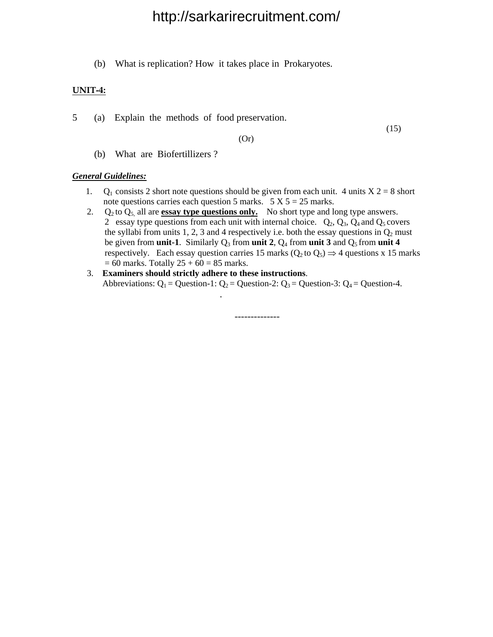(b) What is replication? How it takes place in Prokaryotes.

#### **UNIT-4:**

5 (a) Explain the methods of food preservation.

(15)

(Or)

(b) What are Biofertillizers ?

#### *General Guidelines:*

- 1. Q<sub>1</sub> consists 2 short note questions should be given from each unit. 4 units  $X$  2 = 8 short note questions carries each question 5 marks.  $5 \text{ X } 5 = 25$  marks.
- 2.  $Q_2$  to  $Q_5$ , all are **essay type questions only.** No short type and long type answers. 2 essay type questions from each unit with internal choice.  $Q_2$ ,  $Q_3$ ,  $Q_4$  and  $Q_5$  covers the syllabi from units 1, 2, 3 and 4 respectively i.e. both the essay questions in  $Q_2$  must be given from **unit-1**. Similarly  $Q_3$  from **unit 2**,  $Q_4$  from **unit 3** and  $Q_5$  from **unit 4** respectively. Each essay question carries 15 marks  $(0, \text{to } 0) \Rightarrow 4$  questions x 15 marks  $= 60$  marks. Totally  $25 + 60 = 85$  marks.
- 3. **Examiners should strictly adhere to these instructions**. Abbreviations:  $Q_1$  = Question-1:  $Q_2$  = Question-2:  $Q_3$  = Question-3:  $Q_4$  = Question-4.

--------------

.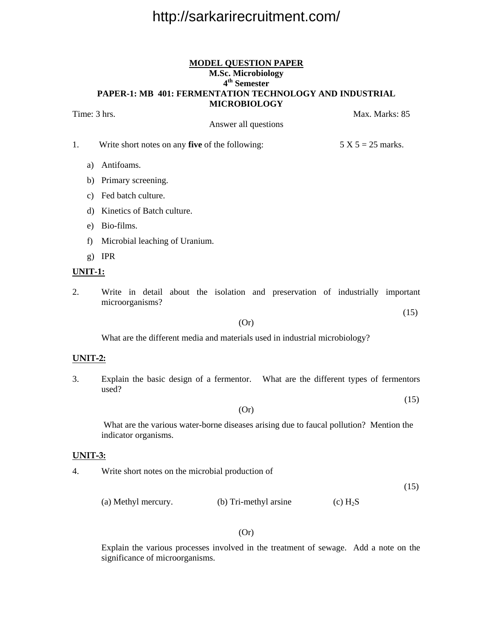#### **MODEL QUESTION PAPER M.Sc. Microbiology 4th Semester PAPER-1: MB 401: FERMENTATION TECHNOLOGY AND INDUSTRIAL MICROBIOLOGY**

Time: 3 hrs. Max. Marks: 85

Answer all questions

1. Write short notes on any **five** of the following:  $5 \times 5 = 25$  marks.

a) Antifoams.

- b) Primary screening.
- c) Fed batch culture.
- d) Kinetics of Batch culture.
- e) Bio-films.
- f) Microbial leaching of Uranium.
- g) IPR

#### **UNIT-1:**

2. Write in detail about the isolation and preservation of industrially important microorganisms?

#### (Or)

(15)

What are the different media and materials used in industrial microbiology?

#### **UNIT-2:**

3. Explain the basic design of a fermentor. What are the different types of fermentors used?

 (15) (Or)

 What are the various water-borne diseases arising due to faucal pollution? Mention the indicator organisms.

#### **UNIT-3:**

4. Write short notes on the microbial production of

(15)

(a) Methyl mercury. (b) Tri-methyl arsine (c)  $H_2S$ 

#### (Or)

 Explain the various processes involved in the treatment of sewage. Add a note on the significance of microorganisms.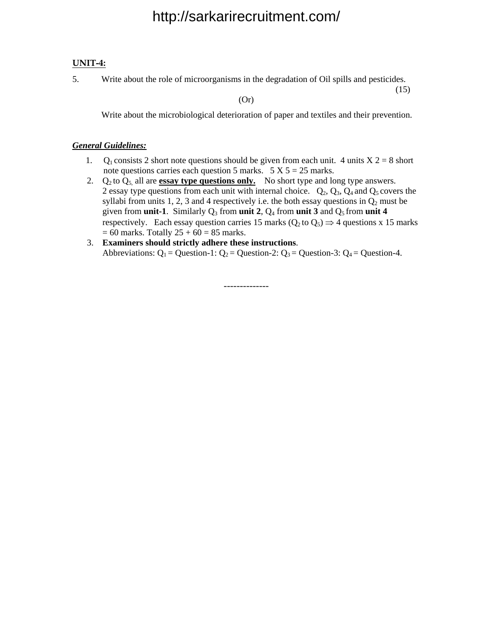#### **UNIT-4:**

5. Write about the role of microorganisms in the degradation of Oil spills and pesticides.

 $(15)$ 

(Or)

Write about the microbiological deterioration of paper and textiles and their prevention.

#### *General Guidelines:*

- 1. Q<sub>1</sub> consists 2 short note questions should be given from each unit. 4 units  $X$  2 = 8 short note questions carries each question 5 marks.  $5 X 5 = 25$  marks.
- 2.  $Q_2$  to  $Q_5$ , all are **essay type questions only.** No short type and long type answers. 2 essay type questions from each unit with internal choice.  $Q_2$ ,  $Q_3$ ,  $Q_4$  and  $Q_5$  covers the syllabi from units 1, 2, 3 and 4 respectively i.e. the both essay questions in  $Q_2$  must be given from **unit-1**. Similarly  $Q_3$  from **unit 2**,  $Q_4$  from **unit 3** and  $Q_5$  from **unit 4 respectively.** Each essay question carries 15 marks  $(0, \text{to } 0) \Rightarrow 4$  questions x 15 marks  $= 60$  marks. Totally  $25 + 60 = 85$  marks.
- 3. **Examiners should strictly adhere these instructions**. Abbreviations:  $Q_1$  = Question-1:  $Q_2$  = Question-2:  $Q_3$  = Question-3:  $Q_4$  = Question-4.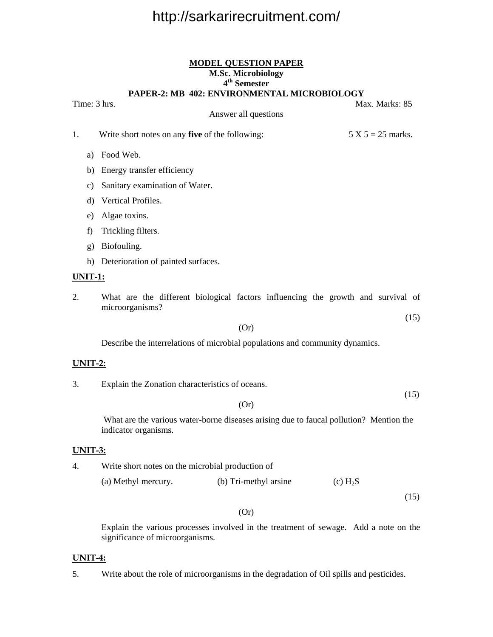#### **MODEL QUESTION PAPER M.Sc. Microbiology 4th Semester PAPER-2: MB 402: ENVIRONMENTAL MICROBIOLOGY**

Answer all questions

Time: 3 hrs. Max. Marks: 85

1. Write short notes on any **five** of the following: 5 X 5 = 25 marks.

a) Food Web.

b) Energy transfer efficiency

c) Sanitary examination of Water.

d) Vertical Profiles.

e) Algae toxins.

f) Trickling filters.

g) Biofouling.

h) Deterioration of painted surfaces.

#### **UNIT-1:**

2. What are the different biological factors influencing the growth and survival of microorganisms?

#### (Or)

Describe the interrelations of microbial populations and community dynamics.

#### **UNIT-2:**

3. Explain the Zonation characteristics of oceans.

 (15) (Or)

 What are the various water-borne diseases arising due to faucal pollution? Mention the indicator organisms.

#### **UNIT-3:**

4. Write short notes on the microbial production of

(a) Methyl mercury. (b) Tri-methyl arsine (c)  $H_2S$ 

 $(15)$ 

#### (Or)

 Explain the various processes involved in the treatment of sewage. Add a note on the significance of microorganisms.

#### **UNIT-4:**

5. Write about the role of microorganisms in the degradation of Oil spills and pesticides.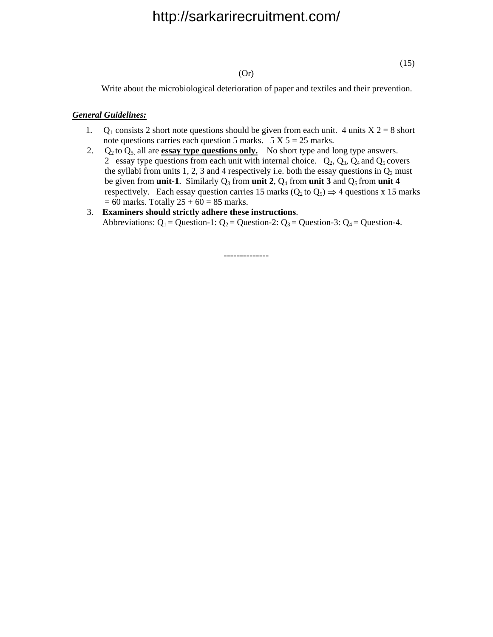#### (Or)

 $(15)$ 

Write about the microbiological deterioration of paper and textiles and their prevention.

#### *General Guidelines:*

- 1. Q<sub>1</sub> consists 2 short note questions should be given from each unit. 4 units  $X$  2 = 8 short note questions carries each question 5 marks.  $5 \text{ X } 5 = 25 \text{ marks.}$
- 2.  $Q_2$  to  $Q_5$  all are **essay type questions only.** No short type and long type answers. 2 essay type questions from each unit with internal choice.  $Q_2$ ,  $Q_3$ ,  $Q_4$  and  $Q_5$  covers the syllabi from units 1, 2, 3 and 4 respectively i.e. both the essay questions in  $Q_2$  must be given from **unit-1**. Similarly  $Q_3$  from **unit 2**,  $Q_4$  from **unit 3** and  $Q_5$  from **unit 4** respectively. Each essay question carries 15 marks ( $Q_2$  to  $Q_5$ )  $\Rightarrow$  4 questions x 15 marks  $= 60$  marks. Totally  $25 + 60 = 85$  marks.
- 3. **Examiners should strictly adhere these instructions**. Abbreviations:  $Q_1$  = Question-1:  $Q_2$  = Question-2:  $Q_3$  = Question-3:  $Q_4$  = Question-4.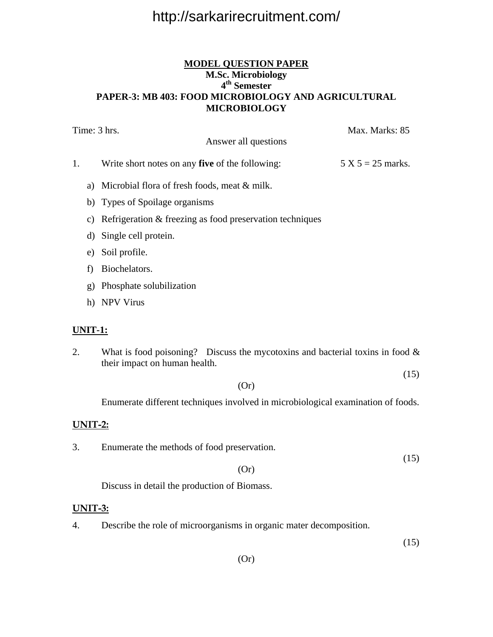#### **MODEL QUESTION PAPER M.Sc. Microbiology 4th Semester PAPER-3: MB 403: FOOD MICROBIOLOGY AND AGRICULTURAL MICROBIOLOGY**

| Time: 3 hrs. |                                                                             | Max. Marks: 85      |
|--------------|-----------------------------------------------------------------------------|---------------------|
|              | Answer all questions                                                        |                     |
| 1.           | Write short notes on any <b>five</b> of the following:                      | $5 X 5 = 25$ marks. |
|              | a) Microbial flora of fresh foods, meat $&$ milk.                           |                     |
|              | b) Types of Spoilage organisms                                              |                     |
| C)           | Refrigeration & freezing as food preservation techniques                    |                     |
|              | d) Single cell protein.                                                     |                     |
| e)           | Soil profile.                                                               |                     |
| f)           | Biochelators.                                                               |                     |
| $\mathbf{g}$ | Phosphate solubilization                                                    |                     |
|              | h) NPV Virus                                                                |                     |
| UNIT-1:      |                                                                             |                     |
|              | What is food poisoning? Discuss the mycotoxins and bacterial toxins in food |                     |

2. What is food poisoning? Discuss the mycotoxins and bacterial toxins in food  $\&$ their impact on human health.

 $(15)$ 

(Or)

Enumerate different techniques involved in microbiological examination of foods.

#### **UNIT-2:**

3. Enumerate the methods of food preservation.

 $(15)$ 

#### (Or)

Discuss in detail the production of Biomass.

#### **UNIT-3:**

4. Describe the role of microorganisms in organic mater decomposition.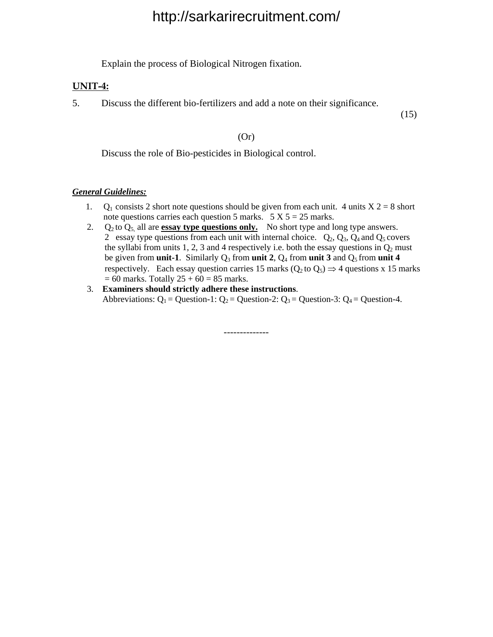Explain the process of Biological Nitrogen fixation.

#### **UNIT-4:**

5. Discuss the different bio-fertilizers and add a note on their significance.

 $(15)$ 

#### (Or)

Discuss the role of Bio-pesticides in Biological control.

#### *General Guidelines:*

- 1. Q<sub>1</sub> consists 2 short note questions should be given from each unit. 4 units  $X$  2 = 8 short note questions carries each question 5 marks.  $5 \text{ X } 5 = 25 \text{ marks.}$
- 2.  $Q_2$  to  $Q_5$  all are **essay type questions only.** No short type and long type answers. 2 essay type questions from each unit with internal choice.  $Q_2$ ,  $Q_3$ ,  $Q_4$  and  $Q_5$  covers the syllabi from units 1, 2, 3 and 4 respectively i.e. both the essay questions in  $Q_2$  must be given from **unit-1**. Similarly  $Q_3$  from **unit 2**,  $Q_4$  from **unit 3** and  $Q_5$  from **unit 4** respectively. Each essay question carries 15 marks ( $Q_2$  to  $Q_5$ )  $\Rightarrow$  4 questions x 15 marks  $= 60$  marks. Totally  $25 + 60 = 85$  marks.
- 3. **Examiners should strictly adhere these instructions**. Abbreviations:  $Q_1$  = Question-1:  $Q_2$  = Question-2:  $Q_3$  = Question-3:  $Q_4$  = Question-4.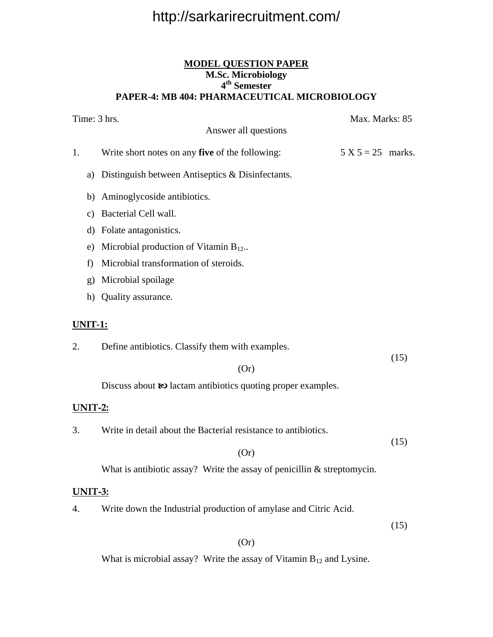#### **MODEL QUESTION PAPER M.Sc. Microbiology 4th Semester PAPER-4: MB 404: PHARMACEUTICAL MICROBIOLOGY**

|                | Time: 3 hrs.<br>Max. Marks: 85<br>Answer all questions                    |                     |      |
|----------------|---------------------------------------------------------------------------|---------------------|------|
| 1.             | Write short notes on any five of the following:                           | $5 X 5 = 25$ marks. |      |
| a)             | Distinguish between Antiseptics & Disinfectants.                          |                     |      |
|                | b) Aminoglycoside antibiotics.                                            |                     |      |
| $\mathbf{c})$  | Bacterial Cell wall.                                                      |                     |      |
|                | d) Folate antagonistics.                                                  |                     |      |
| e)             | Microbial production of Vitamin $B_{12}$ .                                |                     |      |
| f)             | Microbial transformation of steroids.                                     |                     |      |
| $\mathbf{g}$   | Microbial spoilage                                                        |                     |      |
|                | h) Quality assurance.                                                     |                     |      |
| <u>UNIT-1:</u> |                                                                           |                     |      |
| 2.             | Define antibiotics. Classify them with examples.                          |                     |      |
|                | (Or)                                                                      |                     | (15) |
|                | Discuss about $\omega$ lactam antibiotics quoting proper examples.        |                     |      |
| <u>UNIT-2:</u> |                                                                           |                     |      |
| 3.             | Write in detail about the Bacterial resistance to antibiotics.            |                     |      |
|                | (Or)                                                                      |                     | (15) |
|                | What is antibiotic assay? Write the assay of penicillin $&$ streptomycin. |                     |      |
| UNIT-3:        |                                                                           |                     |      |
| 4.             | Write down the Industrial production of amylase and Citric Acid.          |                     |      |
|                |                                                                           |                     | (15) |

(Or)

What is microbial assay? Write the assay of Vitamin  $B_{12}$  and Lysine.